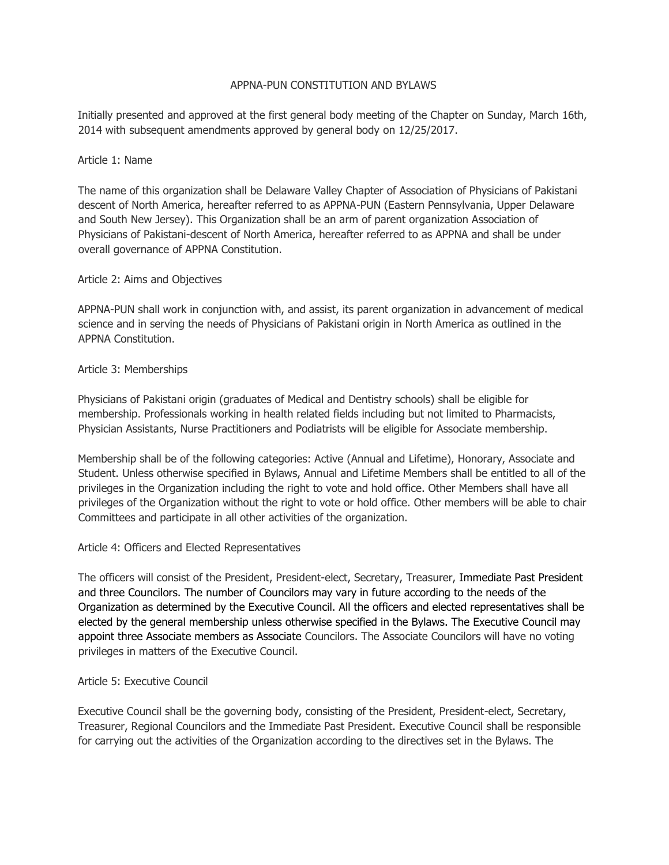#### APPNA-PUN CONSTITUTION AND BYLAWS

Initially presented and approved at the first general body meeting of the Chapter on Sunday, March 16th, 2014 with subsequent amendments approved by general body on 12/25/2017.

#### Article 1: Name

The name of this organization shall be Delaware Valley Chapter of Association of Physicians of Pakistani descent of North America, hereafter referred to as APPNA-PUN (Eastern Pennsylvania, Upper Delaware and South New Jersey). This Organization shall be an arm of parent organization Association of Physicians of Pakistani-descent of North America, hereafter referred to as APPNA and shall be under overall governance of APPNA Constitution.

### Article 2: Aims and Objectives

APPNA-PUN shall work in conjunction with, and assist, its parent organization in advancement of medical science and in serving the needs of Physicians of Pakistani origin in North America as outlined in the APPNA Constitution.

#### Article 3: Memberships

Physicians of Pakistani origin (graduates of Medical and Dentistry schools) shall be eligible for membership. Professionals working in health related fields including but not limited to Pharmacists, Physician Assistants, Nurse Practitioners and Podiatrists will be eligible for Associate membership.

Membership shall be of the following categories: Active (Annual and Lifetime), Honorary, Associate and Student. Unless otherwise specified in Bylaws, Annual and Lifetime Members shall be entitled to all of the privileges in the Organization including the right to vote and hold office. Other Members shall have all privileges of the Organization without the right to vote or hold office. Other members will be able to chair Committees and participate in all other activities of the organization.

### Article 4: Officers and Elected Representatives

The officers will consist of the President, President-elect, Secretary, Treasurer, Immediate Past President and three Councilors. The number of Councilors may vary in future according to the needs of the Organization as determined by the Executive Council. All the officers and elected representatives shall be elected by the general membership unless otherwise specified in the Bylaws. The Executive Council may appoint three Associate members as Associate Councilors. The Associate Councilors will have no voting privileges in matters of the Executive Council.

### Article 5: Executive Council

Executive Council shall be the governing body, consisting of the President, President-elect, Secretary, Treasurer, Regional Councilors and the Immediate Past President. Executive Council shall be responsible for carrying out the activities of the Organization according to the directives set in the Bylaws. The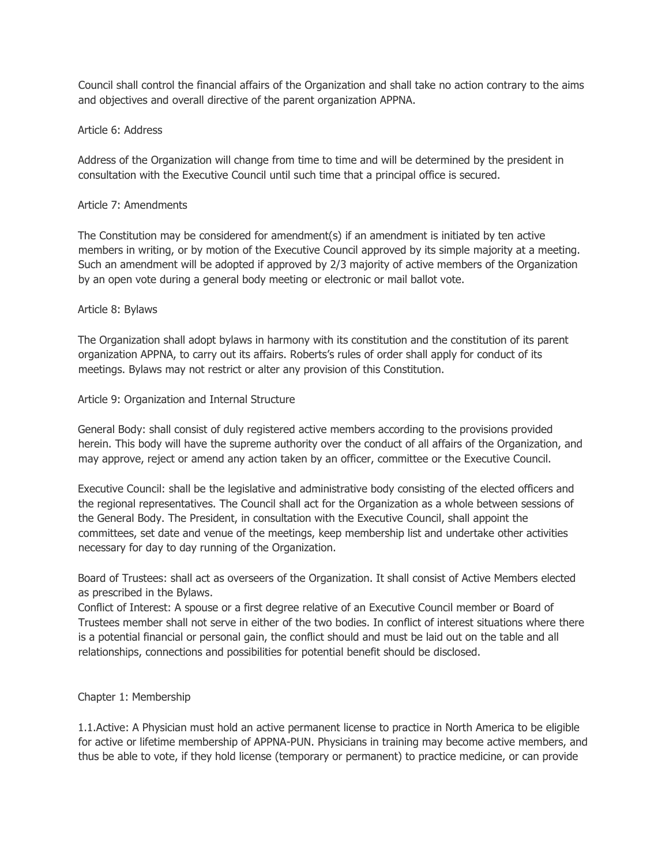Council shall control the financial affairs of the Organization and shall take no action contrary to the aims and objectives and overall directive of the parent organization APPNA.

### Article 6: Address

Address of the Organization will change from time to time and will be determined by the president in consultation with the Executive Council until such time that a principal office is secured.

## Article 7: Amendments

The Constitution may be considered for amendment(s) if an amendment is initiated by ten active members in writing, or by motion of the Executive Council approved by its simple majority at a meeting. Such an amendment will be adopted if approved by 2/3 majority of active members of the Organization by an open vote during a general body meeting or electronic or mail ballot vote.

## Article 8: Bylaws

The Organization shall adopt bylaws in harmony with its constitution and the constitution of its parent organization APPNA, to carry out its affairs. Roberts's rules of order shall apply for conduct of its meetings. Bylaws may not restrict or alter any provision of this Constitution.

## Article 9: Organization and Internal Structure

General Body: shall consist of duly registered active members according to the provisions provided herein. This body will have the supreme authority over the conduct of all affairs of the Organization, and may approve, reject or amend any action taken by an officer, committee or the Executive Council.

Executive Council: shall be the legislative and administrative body consisting of the elected officers and the regional representatives. The Council shall act for the Organization as a whole between sessions of the General Body. The President, in consultation with the Executive Council, shall appoint the committees, set date and venue of the meetings, keep membership list and undertake other activities necessary for day to day running of the Organization.

Board of Trustees: shall act as overseers of the Organization. It shall consist of Active Members elected as prescribed in the Bylaws.

Conflict of Interest: A spouse or a first degree relative of an Executive Council member or Board of Trustees member shall not serve in either of the two bodies. In conflict of interest situations where there is a potential financial or personal gain, the conflict should and must be laid out on the table and all relationships, connections and possibilities for potential benefit should be disclosed.

# Chapter 1: Membership

1.1.Active: A Physician must hold an active permanent license to practice in North America to be eligible for active or lifetime membership of APPNA-PUN. Physicians in training may become active members, and thus be able to vote, if they hold license (temporary or permanent) to practice medicine, or can provide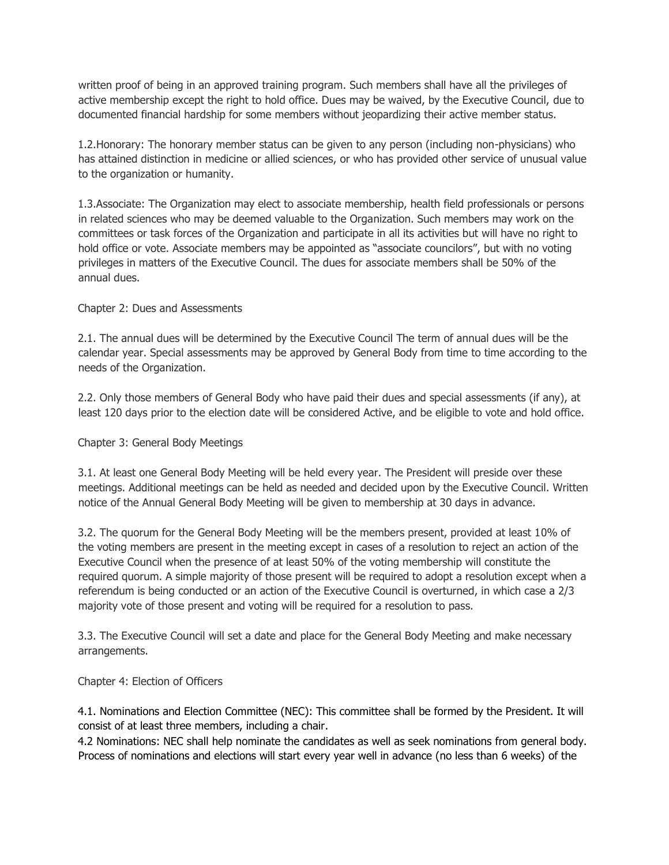written proof of being in an approved training program. Such members shall have all the privileges of active membership except the right to hold office. Dues may be waived, by the Executive Council, due to documented financial hardship for some members without jeopardizing their active member status.

1.2.Honorary: The honorary member status can be given to any person (including non-physicians) who has attained distinction in medicine or allied sciences, or who has provided other service of unusual value to the organization or humanity.

1.3.Associate: The Organization may elect to associate membership, health field professionals or persons in related sciences who may be deemed valuable to the Organization. Such members may work on the committees or task forces of the Organization and participate in all its activities but will have no right to hold office or vote. Associate members may be appointed as "associate councilors", but with no voting privileges in matters of the Executive Council. The dues for associate members shall be 50% of the annual dues.

## Chapter 2: Dues and Assessments

2.1. The annual dues will be determined by the Executive Council The term of annual dues will be the calendar year. Special assessments may be approved by General Body from time to time according to the needs of the Organization.

2.2. Only those members of General Body who have paid their dues and special assessments (if any), at least 120 days prior to the election date will be considered Active, and be eligible to vote and hold office.

### Chapter 3: General Body Meetings

3.1. At least one General Body Meeting will be held every year. The President will preside over these meetings. Additional meetings can be held as needed and decided upon by the Executive Council. Written notice of the Annual General Body Meeting will be given to membership at 30 days in advance.

3.2. The quorum for the General Body Meeting will be the members present, provided at least 10% of the voting members are present in the meeting except in cases of a resolution to reject an action of the Executive Council when the presence of at least 50% of the voting membership will constitute the required quorum. A simple majority of those present will be required to adopt a resolution except when a referendum is being conducted or an action of the Executive Council is overturned, in which case a 2/3 majority vote of those present and voting will be required for a resolution to pass.

3.3. The Executive Council will set a date and place for the General Body Meeting and make necessary arrangements.

### Chapter 4: Election of Officers

4.1. Nominations and Election Committee (NEC): This committee shall be formed by the President. It will consist of at least three members, including a chair.

4.2 Nominations: NEC shall help nominate the candidates as well as seek nominations from general body. Process of nominations and elections will start every year well in advance (no less than 6 weeks) of the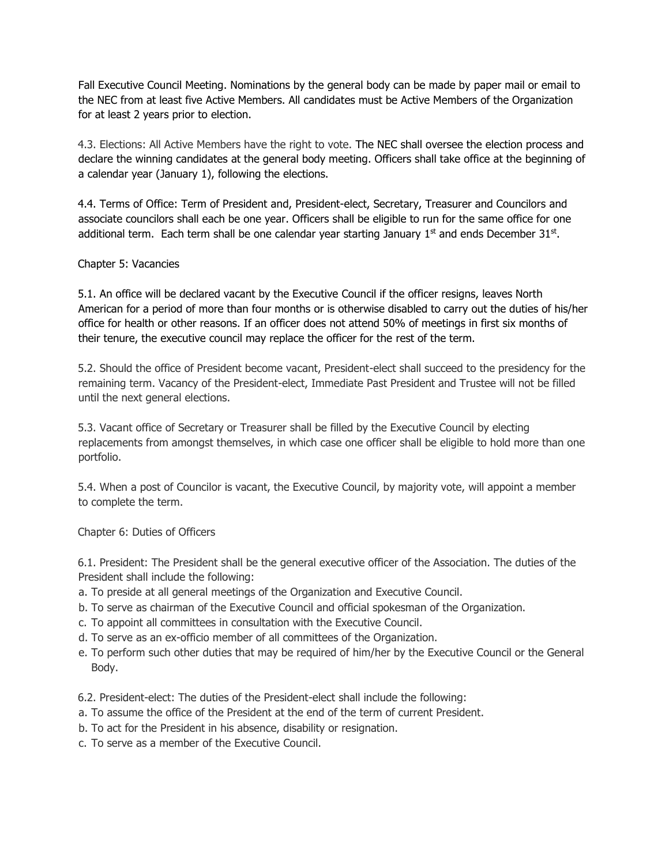Fall Executive Council Meeting. Nominations by the general body can be made by paper mail or email to the NEC from at least five Active Members. All candidates must be Active Members of the Organization for at least 2 years prior to election.

4.3. Elections: All Active Members have the right to vote. The NEC shall oversee the election process and declare the winning candidates at the general body meeting. Officers shall take office at the beginning of a calendar year (January 1), following the elections.

4.4. Terms of Office: Term of President and, President-elect, Secretary, Treasurer and Councilors and associate councilors shall each be one year. Officers shall be eligible to run for the same office for one additional term. Each term shall be one calendar year starting January  $1<sup>st</sup>$  and ends December 31<sup>st</sup>.

## Chapter 5: Vacancies

5.1. An office will be declared vacant by the Executive Council if the officer resigns, leaves North American for a period of more than four months or is otherwise disabled to carry out the duties of his/her office for health or other reasons. If an officer does not attend 50% of meetings in first six months of their tenure, the executive council may replace the officer for the rest of the term.

5.2. Should the office of President become vacant, President-elect shall succeed to the presidency for the remaining term. Vacancy of the President-elect, Immediate Past President and Trustee will not be filled until the next general elections.

5.3. Vacant office of Secretary or Treasurer shall be filled by the Executive Council by electing replacements from amongst themselves, in which case one officer shall be eligible to hold more than one portfolio.

5.4. When a post of Councilor is vacant, the Executive Council, by majority vote, will appoint a member to complete the term.

Chapter 6: Duties of Officers

6.1. President: The President shall be the general executive officer of the Association. The duties of the President shall include the following:

- a. To preside at all general meetings of the Organization and Executive Council.
- b. To serve as chairman of the Executive Council and official spokesman of the Organization.
- c. To appoint all committees in consultation with the Executive Council.
- d. To serve as an ex-officio member of all committees of the Organization.
- e. To perform such other duties that may be required of him/her by the Executive Council or the General Body.
- 6.2. President-elect: The duties of the President-elect shall include the following:
- a. To assume the office of the President at the end of the term of current President.
- b. To act for the President in his absence, disability or resignation.
- c. To serve as a member of the Executive Council.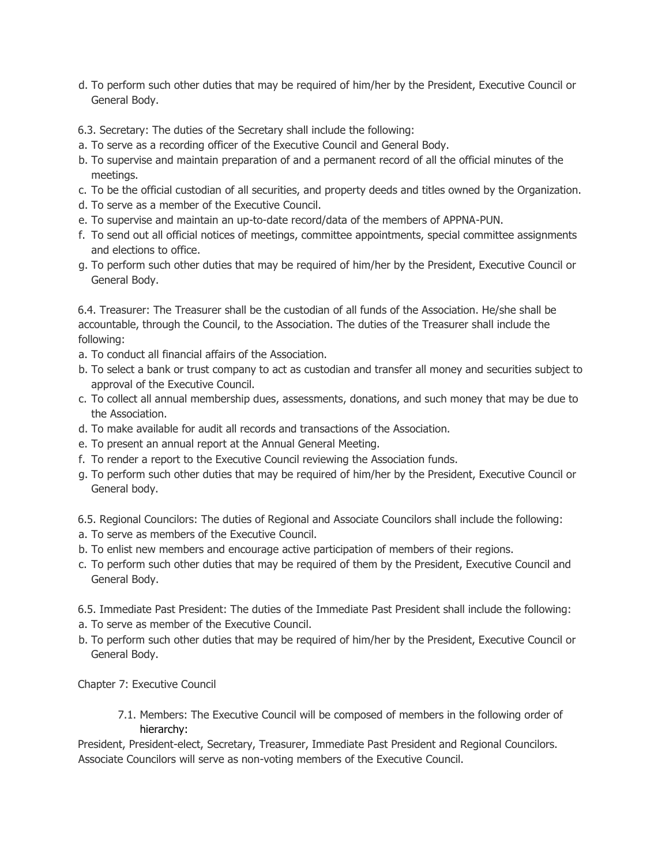- d. To perform such other duties that may be required of him/her by the President, Executive Council or General Body.
- 6.3. Secretary: The duties of the Secretary shall include the following:
- a. To serve as a recording officer of the Executive Council and General Body.
- b. To supervise and maintain preparation of and a permanent record of all the official minutes of the meetings.
- c. To be the official custodian of all securities, and property deeds and titles owned by the Organization.
- d. To serve as a member of the Executive Council.
- e. To supervise and maintain an up-to-date record/data of the members of APPNA-PUN.
- f. To send out all official notices of meetings, committee appointments, special committee assignments and elections to office.
- g. To perform such other duties that may be required of him/her by the President, Executive Council or General Body.

6.4. Treasurer: The Treasurer shall be the custodian of all funds of the Association. He/she shall be accountable, through the Council, to the Association. The duties of the Treasurer shall include the following:

- a. To conduct all financial affairs of the Association.
- b. To select a bank or trust company to act as custodian and transfer all money and securities subject to approval of the Executive Council.
- c. To collect all annual membership dues, assessments, donations, and such money that may be due to the Association.
- d. To make available for audit all records and transactions of the Association.
- e. To present an annual report at the Annual General Meeting.
- f. To render a report to the Executive Council reviewing the Association funds.
- g. To perform such other duties that may be required of him/her by the President, Executive Council or General body.
- 6.5. Regional Councilors: The duties of Regional and Associate Councilors shall include the following:
- a. To serve as members of the Executive Council.
- b. To enlist new members and encourage active participation of members of their regions.
- c. To perform such other duties that may be required of them by the President, Executive Council and General Body.
- 6.5. Immediate Past President: The duties of the Immediate Past President shall include the following:
- a. To serve as member of the Executive Council.
- b. To perform such other duties that may be required of him/her by the President, Executive Council or General Body.

Chapter 7: Executive Council

7.1. Members: The Executive Council will be composed of members in the following order of hierarchy:

President, President-elect, Secretary, Treasurer, Immediate Past President and Regional Councilors. Associate Councilors will serve as non-voting members of the Executive Council.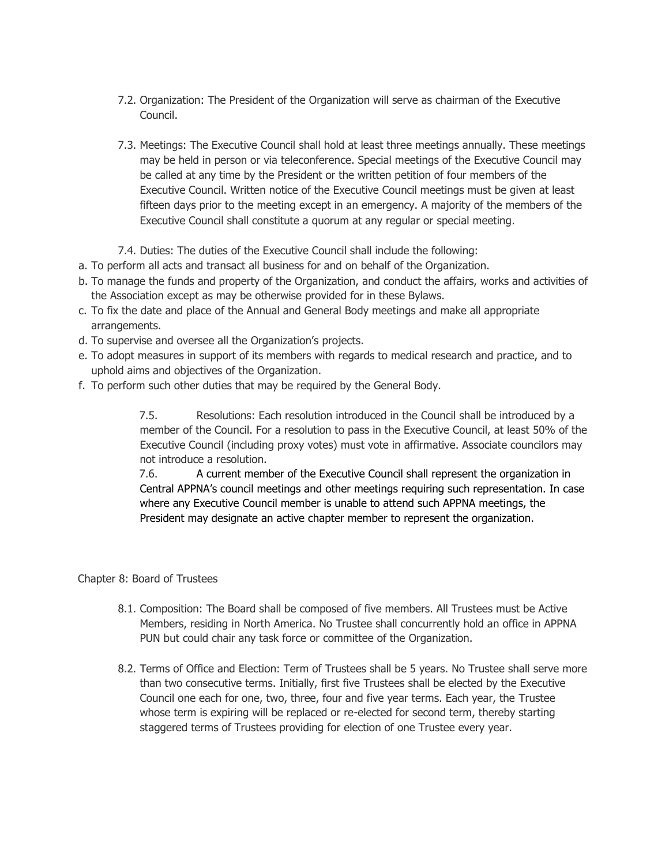- 7.2. Organization: The President of the Organization will serve as chairman of the Executive Council.
- 7.3. Meetings: The Executive Council shall hold at least three meetings annually. These meetings may be held in person or via teleconference. Special meetings of the Executive Council may be called at any time by the President or the written petition of four members of the Executive Council. Written notice of the Executive Council meetings must be given at least fifteen days prior to the meeting except in an emergency. A majority of the members of the Executive Council shall constitute a quorum at any regular or special meeting.
- 7.4. Duties: The duties of the Executive Council shall include the following:
- a. To perform all acts and transact all business for and on behalf of the Organization.
- b. To manage the funds and property of the Organization, and conduct the affairs, works and activities of the Association except as may be otherwise provided for in these Bylaws.
- c. To fix the date and place of the Annual and General Body meetings and make all appropriate arrangements.
- d. To supervise and oversee all the Organization's projects.
- e. To adopt measures in support of its members with regards to medical research and practice, and to uphold aims and objectives of the Organization.
- f. To perform such other duties that may be required by the General Body.

7.5. Resolutions: Each resolution introduced in the Council shall be introduced by a member of the Council. For a resolution to pass in the Executive Council, at least 50% of the Executive Council (including proxy votes) must vote in affirmative. Associate councilors may not introduce a resolution.

7.6. A current member of the Executive Council shall represent the organization in Central APPNA's council meetings and other meetings requiring such representation. In case where any Executive Council member is unable to attend such APPNA meetings, the President may designate an active chapter member to represent the organization.

Chapter 8: Board of Trustees

- 8.1. Composition: The Board shall be composed of five members. All Trustees must be Active Members, residing in North America. No Trustee shall concurrently hold an office in APPNA PUN but could chair any task force or committee of the Organization.
- 8.2. Terms of Office and Election: Term of Trustees shall be 5 years. No Trustee shall serve more than two consecutive terms. Initially, first five Trustees shall be elected by the Executive Council one each for one, two, three, four and five year terms. Each year, the Trustee whose term is expiring will be replaced or re-elected for second term, thereby starting staggered terms of Trustees providing for election of one Trustee every year.